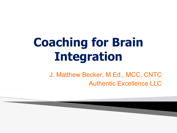# **Coaching for Brain Integration**

J. Matthew Becker, M.Ed., MCC, CNTC Authentic Excellence LLC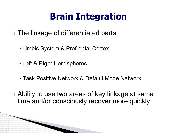## **Brain Integration**

- □ The linkage of differentiated parts
	- Limbic System & Prefrontal Cortex
	- Left & Right Hemispheres

**The Comment of The Comment of The Comment of The Comment of The Comment of The Comment of The Comment of The Co** 

- Task Positive Network & Default Mode Network
- □ Ability to use two areas of key linkage at same time and/or consciously recover more quickly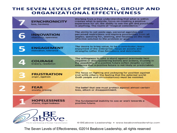### THE SEVEN LEVELS OF PERSONAL, GROUP AND **ORGANIZATIONAL EFFECTIVENESS**

|   | <b>SYNCHRONICITY</b><br>love, harmony        | Working from a true understanding that what is within<br>creates what is outside; focus on creating a positive<br>experience for all; the ability to see the gift and possibility<br>in anything. The realm of "magical coincidence."                  |
|---|----------------------------------------------|--------------------------------------------------------------------------------------------------------------------------------------------------------------------------------------------------------------------------------------------------------|
| 6 | <b>INNOVATION</b><br>objectivity, openness   | The ability to set aside ego, personal agendas and<br>perceived restrictions and explore possibilities from all<br>angles; questing for, seeking, and focusing on the most<br>effective solution to the problem or goal.                               |
|   | <b>ENGAGEMENT</b><br>motivation, tolerance   | The desire to bring value, to be a contributor; basic<br>enjoyment of the enterprise; focus on assets and<br>strengths rather than limitations and detriments.                                                                                         |
|   | <b>COURAGE</b><br>bravery, resolution        | The willingness to take a stand against previously held<br>negative or disempowering beliefs and actions, trusting in<br>the possibility of a positive future (often despite current<br>evidence that a positive future is not likely or predictable). |
|   | <b>FRUSTRATION</b><br>anger, egotism         | The focus on fighting and jockeying for position against<br>(not with) others; the feeling that the external world<br>(both people and circumstances) must be resisted.                                                                                |
|   | <b>FEAR</b><br>anxiety, craving              | The belief that one must protect against almost certain<br>loss, attack or disappointment.                                                                                                                                                             |
|   | <b>HOPELESSNESS</b><br>shame, dispiritedness | The fundamental inability to see or work towards a<br>positive future.                                                                                                                                                                                 |
|   | The Art and Science of Human Transformation  | © BEabove Leadership • www.beaboveleadership.com                                                                                                                                                                                                       |

The Seven Levels of Effectiveness, ©2014 Beabove Leadership, all rights reserved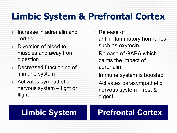## **Limbic System & Prefrontal Cortex**

- Increase in adrenalin and cortisol
- Diversion of blood to muscles and away from digestion
- Decreased functioning of immune system
- Activates sympathetic nervous system – fight or flight
- Release of anti-inflammatory hormones such as oxytocin
- Release of GABA which calms the impact of adrenalin
- Immune system is boosted
- Activates parasympathetic nervous system – rest & digest

### **Limbic System | Prefrontal Cortex**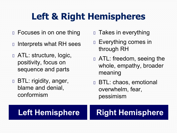## **Left & Right Hemispheres**

- Focuses in on one thing
- Interprets what RH sees
- ATL: structure, logic, positivity, focus on sequence and parts
- BTL: rigidity, anger, blame and denial, conformism
- **D** Takes in everything
- Everything comes in through RH
- ATL: freedom, seeing the whole, empathy, broader meaning
- BTL: chaos, emotional overwhelm, fear, pessimism

### **Left Hemisphere | Right Hemisphere**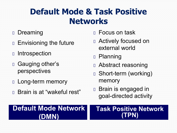### **Default Mode & Task Positive Networks**

- **Dreaming**
- **Envisioning the future**
- **Introspection**
- Gauging other's perspectives
- **Long-term memory**
- Brain is at "wakeful rest"
- Focus on task
- Actively focused on external world
- Planning
- Abstract reasoning
- Short-term (working) memory
- Brain is engaged in goal-directed activity

### **Default Mode Network (DMN)**

### **Task Positive Network (TPN)**